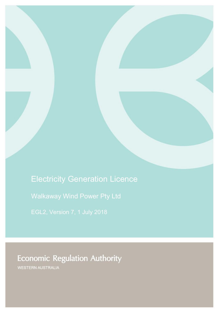# Electricity Generation Licence

Walkaway Wind Power Pty Ltd

**Economic Regulation Authority** 

WESTERN AUSTRALIA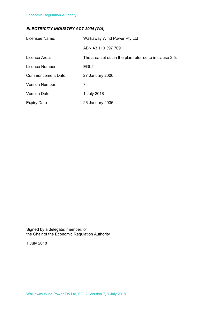### *ELECTRICITY INDUSTRY ACT 2004 (WA)*

| Licensee Name:            | Walkaway Wind Power Pty Ltd                             |
|---------------------------|---------------------------------------------------------|
|                           | ABN 43 110 397 709                                      |
| Licence Area:             | The area set out in the plan referred to in clause 2.5. |
| Licence Number:           | EGL <sub>2</sub>                                        |
| <b>Commencement Date:</b> | 27 January 2006                                         |
| <b>Version Number:</b>    | 7                                                       |
| <b>Version Date:</b>      | 1 July 2018                                             |
| <b>Expiry Date:</b>       | 26 January 2036                                         |

Signed by a delegate; member; or the Chair of the Economic Regulation Authority

1 July 2018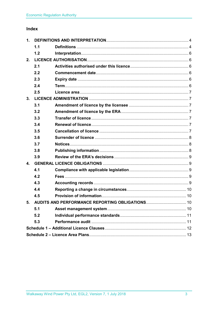## Index

| 1. |     |                                                    |  |
|----|-----|----------------------------------------------------|--|
|    | 1.1 |                                                    |  |
|    | 1.2 |                                                    |  |
| 2. |     |                                                    |  |
|    | 2.1 |                                                    |  |
|    | 2.2 |                                                    |  |
|    | 2.3 |                                                    |  |
|    | 2.4 |                                                    |  |
|    | 2.5 |                                                    |  |
| 3. |     |                                                    |  |
|    | 3.1 |                                                    |  |
|    | 3.2 |                                                    |  |
|    | 3.3 |                                                    |  |
|    | 3.4 |                                                    |  |
|    | 3.5 |                                                    |  |
|    | 3.6 |                                                    |  |
|    | 3.7 |                                                    |  |
|    | 3.8 |                                                    |  |
|    | 3.9 |                                                    |  |
| 4. |     |                                                    |  |
|    | 4.1 |                                                    |  |
|    | 4.2 |                                                    |  |
|    | 4.3 |                                                    |  |
|    | 4.4 |                                                    |  |
|    | 4.5 |                                                    |  |
|    |     | 5. AUDITS AND PERFORMANCE REPORTING OBLIGATIONS 10 |  |
|    | 5.1 |                                                    |  |
|    | 5.2 |                                                    |  |
|    | 5.3 |                                                    |  |
|    |     |                                                    |  |
|    |     |                                                    |  |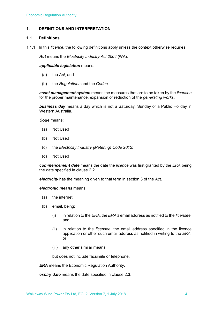### <span id="page-3-0"></span>**1. DEFINITIONS AND INTERPRETATION**

#### <span id="page-3-1"></span>**1.1 Definitions**

1.1.1 In this *licence*, the following definitions apply unless the context otherwise requires:

*Act* means the *Electricity Industry Act 2004* (WA).

#### *applicable legislation* means:

- (a) the *Act*; and
- (b) the *Regulations* and the *Codes*.

*asset management system* means the measures that are to be taken by the *licensee* for the proper maintenance, expansion or reduction of the *generating works*.

*business day* means a day which is not a Saturday, Sunday or a Public Holiday in Western Australia.

*Code* means:

- (a) Not Used
- (b) Not Used
- (c) the *Electricity Industry (Metering) Code 2012*;
- (d) Not Used

*commencement date* means the date the *licence* was first granted by the *ERA* being the date specified in clause 2.2.

*electricity* has the meaning given to that term in section 3 of the *Act*.

*electronic means* means:

- (a) the internet;
- (b) email, being:
	- (i) in relation to the *ERA*, the *ERA's* email address as notified to the *licensee*; and
	- (ii) in relation to the *licensee*, the email address specified in the licence application or other such email address as notified in writing to the *ERA*; or
	- (iii) any other similar means,

but does not include facsimile or telephone.

*ERA* means the Economic Regulation Authority.

*expiry date* means the date specified in clause 2.3.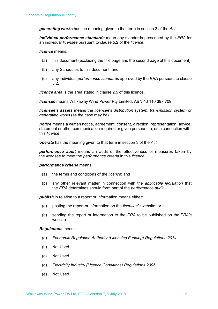*generating works* has the meaning given to that term in section 3 of the *Act.*

*individual performance standards* mean any standards prescribed by the *ERA* for an individual *licensee* pursuant to clause 5.2 of the *licence*.

*licence* means:

- (a) this document (excluding the title page and the second page of this document);
- (b) any Schedules to this document; and
- (c) any individual *performance standards* approved by the *ERA* pursuant to clause 5.2.

*licence area* is the area stated in clause 2.5 of this licence.

*licensee* means Walkaway Wind Power Pty Limited, ABN 43 110 397 709.

*licensee's assets* means the *licensee*'s *distribution system*, *transmission system* or *generating works* (as the case may be).

*notice* means a written notice, agreement, consent, direction, representation, advice, statement or other communication required or given pursuant to, or in connection with, this *licence*.

*operate* has the meaning given to that term in section 3 of the *Act*.

*performance audit* means an audit of the effectiveness of measures taken by the *licensee* to meet the *performance criteria* in this *licence*.

#### *performance criteria* means:

- (a) the terms and conditions of the *licence*; and
- (b) any other relevant matter in connection with the *applicable legislation* that the *ERA* determines should form part of the *performance audit*.

**publish** in relation to a report or information means either:

- (a) posting the report or information on the *licensee's* website; or
- (b) sending the report or information to the *ERA* to be published on the *ERA's* website.

#### *Regulations* means:

- (a) *Economic Regulation Authority (Licensing Funding) Regulations 2014*;
- (b) Not Used
- (c) Not Used
- (d) *Electricity Industry (Licence Conditions) Regulations 2005*;
- (e) Not Used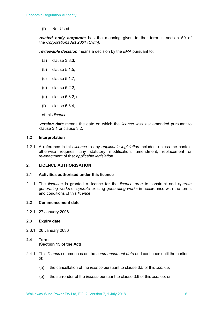(f) Not Used

*related body corporate* has the meaning given to that term in section 50 of the *Corporations Act 2001 (Cwth)*.

*reviewable decision* means a decision by the *ERA* pursuant to:

- (a) clause 3.8.3;
- (b) clause 5.1.5;
- (c) clause 5.1.7;
- (d) clause 5.2.2;
- (e) clause 5.3.2; or
- (f) clause 5.3.4,

of this *licence*.

*version date* means the date on which the *licence* was last amended pursuant to clause 3.1 or clause 3.2.

#### <span id="page-5-0"></span>**1.2 Interpretation**

1.2.1 A reference in this *licence* to any *applicable legislation* includes, unless the context otherwise requires, any statutory modification, amendment, replacement or re-enactment of that *applicable legislation*.

#### <span id="page-5-1"></span>**2. LICENCE AUTHORISATION**

#### <span id="page-5-2"></span>**2.1 Activities authorised under this licence**

2.1.1 The *licensee* is granted a licence for the *licence area* to construct and *operate generating works* or *operate* existing *generating works* in accordance with the terms and conditions of this *licence*.

#### <span id="page-5-3"></span>**2.2 Commencement date**

2.2.1 27 January 2006

#### <span id="page-5-4"></span>**2.3 Expiry date**

2.3.1 26 January 2036

### <span id="page-5-5"></span>**2.4 Term [Section 15 of the Act]**

- 2.4.1 This *licence* commences on the *commencement date* and continues until the earlier of:
	- (a) the cancellation of the *licence* pursuant to clause 3.5 of this *licence*;
	- (b) the surrender of the *licence* pursuant to clause 3.6 of this *licence*; or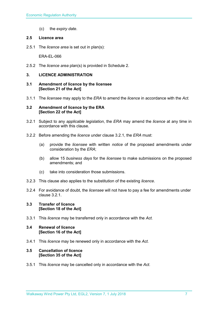(c) the *expiry date*.

#### <span id="page-6-0"></span>**2.5 Licence area**

2.5.1 The *licence area* is set out in plan(s):

ERA-EL-066

2.5.2 The *licence area* plan(s) is provided in Schedule 2.

### <span id="page-6-1"></span>**3. LICENCE ADMINISTRATION**

- <span id="page-6-2"></span>**3.1 Amendment of licence by the licensee [Section 21 of the Act]**
- 3.1.1 The *licensee* may apply to the *ERA* to amend the *licence* in accordance with the *Act.*

#### <span id="page-6-3"></span>**3.2 Amendment of licence by the ERA [Section 22 of the Act]**

- 3.2.1 Subject to any *applicable legislation*, the *ERA* may amend the *licence* at any time in accordance with this clause.
- 3.2.2 Before amending the *licence* under clause 3.2.1, the *ERA* must:
	- (a) provide the *licensee* with written *notice* of the proposed amendments under consideration by the *ERA*;
	- (b) allow 15 *business days* for the *licensee* to make submissions on the proposed amendments; and
	- (c) take into consideration those submissions.
- 3.2.3 This clause also applies to the substitution of the existing *licence*.
- 3.2.4 For avoidance of doubt, the *licensee* will not have to pay a fee for amendments under clause 3.2.1.

#### <span id="page-6-4"></span>**3.3 Transfer of licence [Section 18 of the Act]**

3.3.1 This *licence* may be transferred only in accordance with the *Act.*

#### <span id="page-6-5"></span>**3.4 Renewal of licence [Section 16 of the Act]**

3.4.1 This *licence* may be renewed only in accordance with the *Act*.

#### <span id="page-6-6"></span>**3.5 Cancellation of licence [Section 35 of the Act]**

3.5.1 This *licence* may be cancelled only in accordance with the *Act*.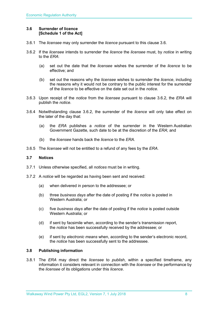#### <span id="page-7-0"></span>**3.6 Surrender of licence [Schedule 1 of the Act]**

- 3.6.1 The *licensee* may only surrender the *licence* pursuant to this clause 3.6.
- 3.6.2 If the *licensee* intends to surrender the *licence* the *licensee* must, by *notice* in writing to the *ERA*:
	- (a) set out the date that the *licensee* wishes the surrender of the *licence* to be effective; and
	- (b) set out the reasons why the *licensee* wishes to surrender the *licence*, including the reasons why it would not be contrary to the public interest for the surrender of the *licence* to be effective on the date set out in the *notice*.
- 3.6.3 Upon receipt of the *notice* from the *licensee* pursuant to clause 3.6.2, the *ERA* will publish the *notice*.
- 3.6.4 Notwithstanding clause 3.6.2, the surrender of the *licence* will only take effect on the later of the day that:
	- (a) the *ERA* publishes a *notice* of the surrender in the Western Australian Government Gazette, such date to be at the discretion of the *ERA*; and
	- (b) the *licensee* hands back the *licence* to the *ERA*.
- 3.6.5 The *licensee* will not be entitled to a refund of any fees by the *ERA*.

#### <span id="page-7-1"></span>**3.7 Notices**

- 3.7.1 Unless otherwise specified, all *notices* must be in writing.
- 3.7.2 A *notice* will be regarded as having been sent and received:
	- (a) when delivered in person to the addressee; or
	- (b) three *business days* after the date of posting if the *notice* is posted in Western Australia; or
	- (c) five *business days* after the date of posting if the *notice* is posted outside Western Australia; or
	- (d) if sent by facsimile when, according to the sender's transmission report, the *notice* has been successfully received by the addressee; or
	- (e) if sent by *electronic means* when, according to the sender's electronic record, the *notice* has been successfully sent to the addressee.

#### <span id="page-7-2"></span>**3.8 Publishing information**

3.8.1 The *ERA* may direct the *licensee* to *publish*, within a specified timeframe, any information it considers relevant in connection with the *licensee* or the performance by the *licensee* of its obligations under this *licence*.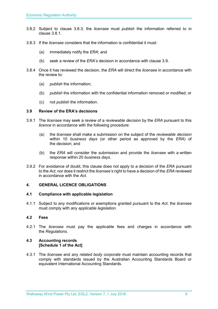- 3.8.2 Subject to clause 3.8.3, the *licensee* must *publish* the information referred to in clause 3.8.1.
- 3.8.3 If the *licensee* considers that the information is confidential it must:
	- (a) immediately notify the *ERA*; and
	- (b) seek a review of the *ERA's* decision in accordance with clause 3.9.
- 3.8.4 Once it has reviewed the decision, the *ERA* will direct the *licensee* in accordance with the review to:
	- (a) *publish* the information;
	- (b) *publish* the information with the confidential information removed or modified; or
	- (c) not *publish* the information.

#### <span id="page-8-0"></span>**3.9 Review of the ERA's decisions**

- 3.9.1 The *licensee* may seek a review of a *reviewable decision* by the *ERA* pursuant to this *licence* in accordance with the following procedure:
	- (a) the *licensee* shall make a submission on the subject of the *reviewable decision* within 10 *business days* (or other period as approved by the *ERA*) of the decision; and
	- (b) the *ERA* will consider the submission and provide the *licensee* with a written response within 20 *business days*.
- 3.9.2 For avoidance of doubt, this clause does not apply to a decision of the *ERA* pursuant to the *Act*, nor does it restrict the *licensee's* right to have a decision of the *ERA* reviewed in accordance with the *Act*.

#### <span id="page-8-1"></span>**4. GENERAL LICENCE OBLIGATIONS**

#### <span id="page-8-2"></span>**4.1 Compliance with applicable legislation**

4.1.1 Subject to any modifications or exemptions granted pursuant to the *Act*, the *licensee* must comply with any *applicable legislation*.

#### <span id="page-8-3"></span>**4.2 Fees**

4.2.1 The *licensee* must pay the applicable fees and charges in accordance with the *Regulations*.

#### <span id="page-8-4"></span>**4.3 Accounting records [Schedule 1 of the Act]**

4.3.1 The *licensee* and any *related body corporate* must maintain accounting records that comply with standards issued by the Australian Accounting Standards Board or equivalent International Accounting Standards.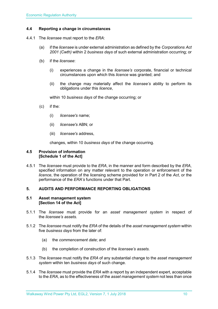#### <span id="page-9-0"></span>**4.4 Reporting a change in circumstances**

- 4.4.1 The *licensee* must report to the *ERA*:
	- (a) if the *licensee* is under external administration as defined by the *Corporations Act 2001 (Cwth)* within 2 *business days* of such external administration occurring; or
	- (b) if the *licensee*:
		- (i) experiences a change in the *licensee's* corporate, financial or technical circumstances upon which this *licence* was granted; and
		- (ii) the change may materially affect the *licensee's* ability to perform its obligations under this *licence*,

within 10 *business days* of the change occurring; or

- (c) if the:
	- (i) *licensee's* name;
	- (ii) *licensee's* ABN; or
	- (iii) *licensee's* address,

changes, within 10 *business days* of the change occurring.

#### <span id="page-9-1"></span>**4.5 Provision of information [Schedule 1 of the Act]**

4.5.1 The *licensee* must provide to the *ERA*, in the manner and form described by the *ERA*, specified information on any matter relevant to the operation or enforcement of the *licence*, the operation of the licensing scheme provided for in Part 2 of the *Act*, or the performance of the *ERA's* functions under that Part.

#### <span id="page-9-2"></span>**5. AUDITS AND PERFORMANCE REPORTING OBLIGATIONS**

#### <span id="page-9-3"></span>**5.1 Asset management system [Section 14 of the Act]**

- 5.1.1 The *licensee* must provide for an *asset management system* in respect of the *licensee's assets*.
- 5.1.2 The *licensee* must notify the *ERA* of the details of the *asset management system* within five *business days* from the later of:
	- (a) the *commencement date*; and
	- (b) the completion of construction of the *licensee's assets*.
- 5.1.3 The *licensee* must notify the *ERA* of any substantial change to the *asset management system* within ten *business days* of such change.
- 5.1.4 The *licensee* must provide the *ERA* with a report by an independent expert, acceptable to the *ERA*, as to the effectiveness of the *asset management system* not less than once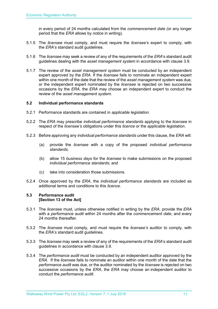in every period of 24 months calculated from the *commencement date (*or any longer period that the *ERA* allows by *notice* in writing).

- 5.1.5 The *licensee* must comply, and must require the *licensee's* expert to comply, with the *ERA's* standard audit guidelines.
- 5.1.6 The *licensee* may seek a review of any of the requirements of the *ERA*'s standard audit guidelines dealing with the *asset management system* in accordance with clause 3.9.
- 5.1.7 The review of the *asset management system* must be conducted by an independent expert approved by the *ERA*. If the *licensee* fails to nominate an independent expert within one month of the date that the review of the *asset management system* was due, or the independent expert nominated by the *licensee* is rejected on two successive occasions by the *ERA*, the *ERA* may choose an independent expert to conduct the review of the *asset management system*.

#### <span id="page-10-0"></span>**5.2 Individual performance standards**

- 5.2.1 Performance standards are contained in *applicable legislation*.
- 5.2.2 The *ERA* may prescribe *individual performance standards* applying to the *licensee* in respect of the *licensee's* obligations under this *licence* or the *applicable legislation*.
- 5.2.3 Before approving any *individual performance standards* under this clause, the *ERA* will:
	- (a) provide the *licensee* with a copy of the proposed *individual performance standards*;
	- (b) allow 15 *business days* for the *licensee* to make submissions on the proposed *individual performance standards*; and
	- (c) take into consideration those submissions.
- 5.2.4 Once approved by the *ERA*, the *individual performance standards* are included as additional terms and conditions to this *licence*.

#### <span id="page-10-1"></span>**5.3 Performance audit [Section 13 of the Act]**

- 5.3.1 The *licensee* must, unless otherwise notified in writing by the *ERA*, provide the *ERA* with a *performance audit* within 24 months after the *commencement date*, and every 24 months thereafter.
- 5.3.2 The *licensee* must comply, and must require the *licensee's* auditor to comply, with the *ERA's* standard audit guidelines.
- 5.3.3 The *licensee* may seek a review of any of the requirements of the *ERA*'s standard audit guidelines in accordance with clause 3.9.
- 5.3.4 The *performance audit* must be conducted by an independent auditor approved by the *ERA*. If the *licensee* fails to nominate an auditor within one month of the date that the *performance audit* was due, or the auditor nominated by the *licensee* is rejected on two successive occasions by the *ERA*, the *ERA* may choose an independent auditor to conduct the *performance audit*.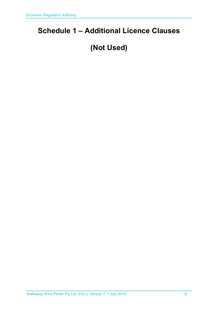## <span id="page-11-0"></span>**Schedule 1 – Additional Licence Clauses**

# **(Not Used)**

Walkaway Wind Power Pty Ltd, EGL2, Version 7, 1 July 2018 12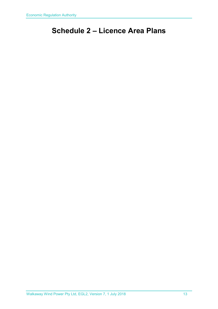## <span id="page-12-0"></span>**Schedule 2 – Licence Area Plans**